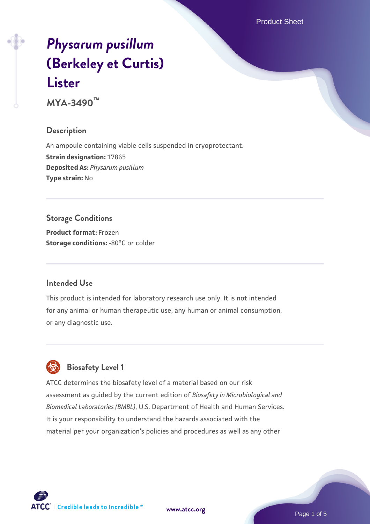Product Sheet

# *[Physarum pusillum](https://www.atcc.org/products/mya-3490)* **[\(Berkeley et Curtis\)](https://www.atcc.org/products/mya-3490) [Lister](https://www.atcc.org/products/mya-3490)**

**MYA-3490™**

# **Description**

An ampoule containing viable cells suspended in cryoprotectant. **Strain designation:** 17865 **Deposited As:** *Physarum pusillum* **Type strain:** No

# **Storage Conditions**

**Product format:** Frozen **Storage conditions: -80°C** or colder

## **Intended Use**

This product is intended for laboratory research use only. It is not intended for any animal or human therapeutic use, any human or animal consumption, or any diagnostic use.



# **Biosafety Level 1**

ATCC determines the biosafety level of a material based on our risk assessment as guided by the current edition of *Biosafety in Microbiological and Biomedical Laboratories (BMBL)*, U.S. Department of Health and Human Services. It is your responsibility to understand the hazards associated with the material per your organization's policies and procedures as well as any other

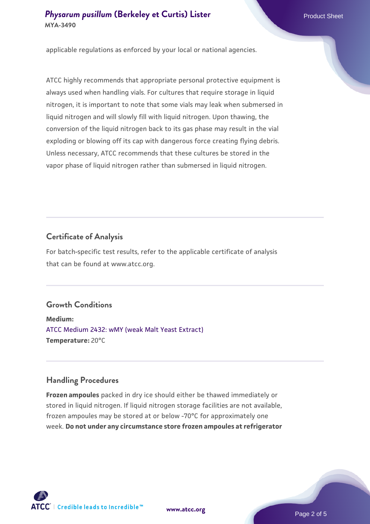#### **[Physarum pusillum](https://www.atcc.org/products/mya-3490) [\(Berkeley et Curtis\) Lister](https://www.atcc.org/products/mya-3490) Physarum Product Sheet MYA-3490**

applicable regulations as enforced by your local or national agencies.

ATCC highly recommends that appropriate personal protective equipment is always used when handling vials. For cultures that require storage in liquid nitrogen, it is important to note that some vials may leak when submersed in liquid nitrogen and will slowly fill with liquid nitrogen. Upon thawing, the conversion of the liquid nitrogen back to its gas phase may result in the vial exploding or blowing off its cap with dangerous force creating flying debris. Unless necessary, ATCC recommends that these cultures be stored in the vapor phase of liquid nitrogen rather than submersed in liquid nitrogen.

## **Certificate of Analysis**

For batch-specific test results, refer to the applicable certificate of analysis that can be found at www.atcc.org.

## **Growth Conditions**

**Medium:**  [ATCC Medium 2432: wMY \(weak Malt Yeast Extract\)](https://www.atcc.org/-/media/product-assets/documents/microbial-media-formulations/2/4/3/2/atcc-medium-2432.pdf?rev=f73d483e590547a9aed0a61b07a0a2da) **Temperature:** 20°C

## **Handling Procedures**

**Frozen ampoules** packed in dry ice should either be thawed immediately or stored in liquid nitrogen. If liquid nitrogen storage facilities are not available, frozen ampoules may be stored at or below -70°C for approximately one week. **Do not under any circumstance store frozen ampoules at refrigerator**

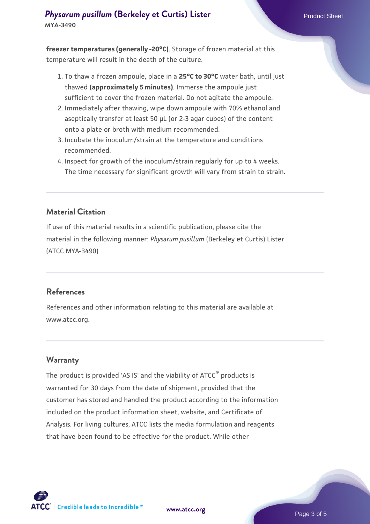# **[Physarum pusillum](https://www.atcc.org/products/mya-3490) [\(Berkeley et Curtis\) Lister](https://www.atcc.org/products/mya-3490) Physarum Product Sheet MYA-3490**

**freezer temperatures (generally -20°C)**. Storage of frozen material at this temperature will result in the death of the culture.

- 1. To thaw a frozen ampoule, place in a **25°C to 30°C** water bath, until just thawed **(approximately 5 minutes)**. Immerse the ampoule just sufficient to cover the frozen material. Do not agitate the ampoule.
- 2. Immediately after thawing, wipe down ampoule with 70% ethanol and aseptically transfer at least 50 µL (or 2-3 agar cubes) of the content onto a plate or broth with medium recommended.
- 3. Incubate the inoculum/strain at the temperature and conditions recommended.
- 4. Inspect for growth of the inoculum/strain regularly for up to 4 weeks. The time necessary for significant growth will vary from strain to strain.

#### **Material Citation**

If use of this material results in a scientific publication, please cite the material in the following manner: *Physarum pusillum* (Berkeley et Curtis) Lister (ATCC MYA-3490)

#### **References**

References and other information relating to this material are available at www.atcc.org.

## **Warranty**

The product is provided 'AS IS' and the viability of ATCC<sup>®</sup> products is warranted for 30 days from the date of shipment, provided that the customer has stored and handled the product according to the information included on the product information sheet, website, and Certificate of Analysis. For living cultures, ATCC lists the media formulation and reagents that have been found to be effective for the product. While other



**[www.atcc.org](http://www.atcc.org)**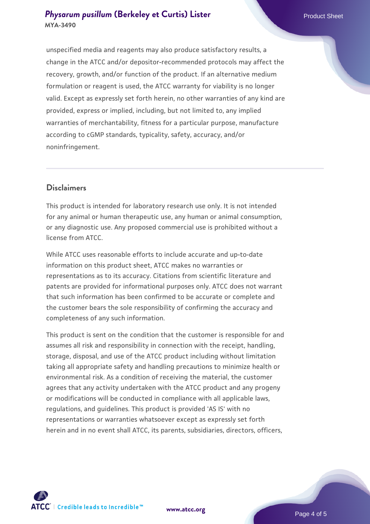unspecified media and reagents may also produce satisfactory results, a change in the ATCC and/or depositor-recommended protocols may affect the recovery, growth, and/or function of the product. If an alternative medium formulation or reagent is used, the ATCC warranty for viability is no longer valid. Except as expressly set forth herein, no other warranties of any kind are provided, express or implied, including, but not limited to, any implied warranties of merchantability, fitness for a particular purpose, manufacture according to cGMP standards, typicality, safety, accuracy, and/or noninfringement.

#### **Disclaimers**

This product is intended for laboratory research use only. It is not intended for any animal or human therapeutic use, any human or animal consumption, or any diagnostic use. Any proposed commercial use is prohibited without a license from ATCC.

While ATCC uses reasonable efforts to include accurate and up-to-date information on this product sheet, ATCC makes no warranties or representations as to its accuracy. Citations from scientific literature and patents are provided for informational purposes only. ATCC does not warrant that such information has been confirmed to be accurate or complete and the customer bears the sole responsibility of confirming the accuracy and completeness of any such information.

This product is sent on the condition that the customer is responsible for and assumes all risk and responsibility in connection with the receipt, handling, storage, disposal, and use of the ATCC product including without limitation taking all appropriate safety and handling precautions to minimize health or environmental risk. As a condition of receiving the material, the customer agrees that any activity undertaken with the ATCC product and any progeny or modifications will be conducted in compliance with all applicable laws, regulations, and guidelines. This product is provided 'AS IS' with no representations or warranties whatsoever except as expressly set forth herein and in no event shall ATCC, its parents, subsidiaries, directors, officers,